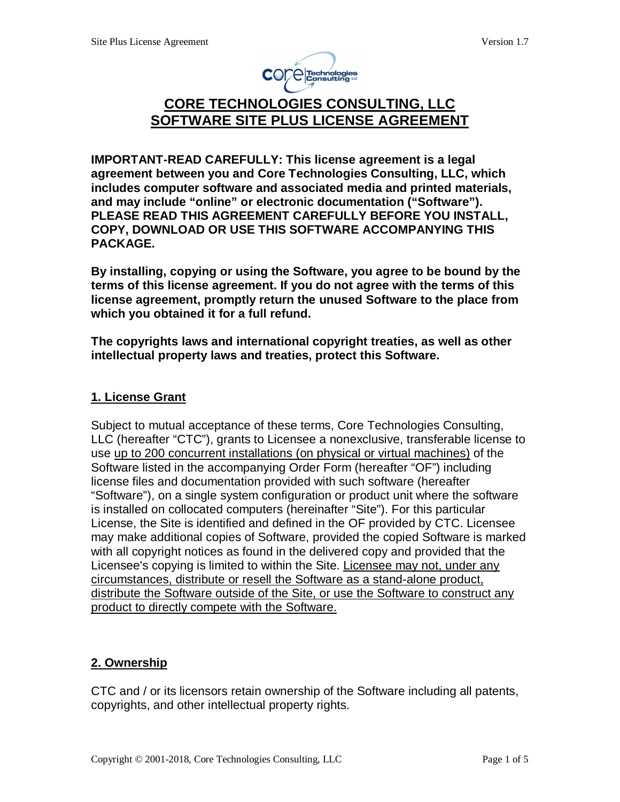

# **CORE TECHNOLOGIES CONSULTING, LLC SOFTWARE SITE PLUS LICENSE AGREEMENT**

**IMPORTANT-READ CAREFULLY: This license agreement is a legal agreement between you and Core Technologies Consulting, LLC, which includes computer software and associated media and printed materials, and may include "online" or electronic documentation ("Software"). PLEASE READ THIS AGREEMENT CAREFULLY BEFORE YOU INSTALL, COPY, DOWNLOAD OR USE THIS SOFTWARE ACCOMPANYING THIS PACKAGE.** 

**By installing, copying or using the Software, you agree to be bound by the terms of this license agreement. If you do not agree with the terms of this license agreement, promptly return the unused Software to the place from which you obtained it for a full refund.** 

**The copyrights laws and international copyright treaties, as well as other intellectual property laws and treaties, protect this Software.** 

#### **1. License Grant**

Subject to mutual acceptance of these terms, Core Technologies Consulting, LLC (hereafter "CTC"), grants to Licensee a nonexclusive, transferable license to use up to 200 concurrent installations (on physical or virtual machines) of the Software listed in the accompanying Order Form (hereafter "OF") including license files and documentation provided with such software (hereafter "Software"), on a single system configuration or product unit where the software is installed on collocated computers (hereinafter "Site"). For this particular License, the Site is identified and defined in the OF provided by CTC. Licensee may make additional copies of Software, provided the copied Software is marked with all copyright notices as found in the delivered copy and provided that the Licensee's copying is limited to within the Site. Licensee may not, under any circumstances, distribute or resell the Software as a stand-alone product, distribute the Software outside of the Site, or use the Software to construct any product to directly compete with the Software.

# **2. Ownership**

CTC and / or its licensors retain ownership of the Software including all patents, copyrights, and other intellectual property rights.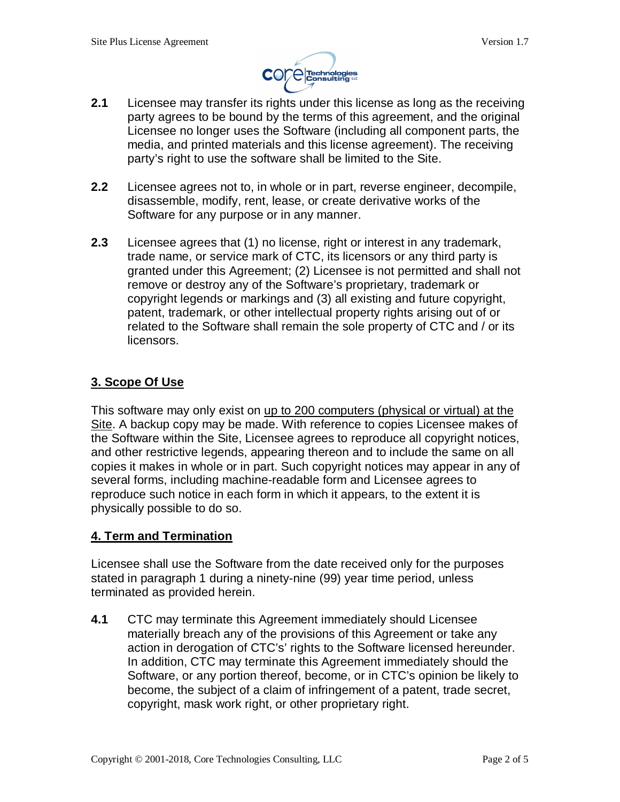

- **2.1** Licensee may transfer its rights under this license as long as the receiving party agrees to be bound by the terms of this agreement, and the original Licensee no longer uses the Software (including all component parts, the media, and printed materials and this license agreement). The receiving party's right to use the software shall be limited to the Site.
- **2.2** Licensee agrees not to, in whole or in part, reverse engineer, decompile, disassemble, modify, rent, lease, or create derivative works of the Software for any purpose or in any manner.
- **2.3** Licensee agrees that (1) no license, right or interest in any trademark, trade name, or service mark of CTC, its licensors or any third party is granted under this Agreement; (2) Licensee is not permitted and shall not remove or destroy any of the Software's proprietary, trademark or copyright legends or markings and (3) all existing and future copyright, patent, trademark, or other intellectual property rights arising out of or related to the Software shall remain the sole property of CTC and / or its licensors.

# **3. Scope Of Use**

This software may only exist on up to 200 computers (physical or virtual) at the Site. A backup copy may be made. With reference to copies Licensee makes of the Software within the Site, Licensee agrees to reproduce all copyright notices, and other restrictive legends, appearing thereon and to include the same on all copies it makes in whole or in part. Such copyright notices may appear in any of several forms, including machine-readable form and Licensee agrees to reproduce such notice in each form in which it appears, to the extent it is physically possible to do so.

#### **4. Term and Termination**

Licensee shall use the Software from the date received only for the purposes stated in paragraph 1 during a ninety-nine (99) year time period, unless terminated as provided herein.

**4.1** CTC may terminate this Agreement immediately should Licensee materially breach any of the provisions of this Agreement or take any action in derogation of CTC's' rights to the Software licensed hereunder. In addition, CTC may terminate this Agreement immediately should the Software, or any portion thereof, become, or in CTC's opinion be likely to become, the subject of a claim of infringement of a patent, trade secret, copyright, mask work right, or other proprietary right.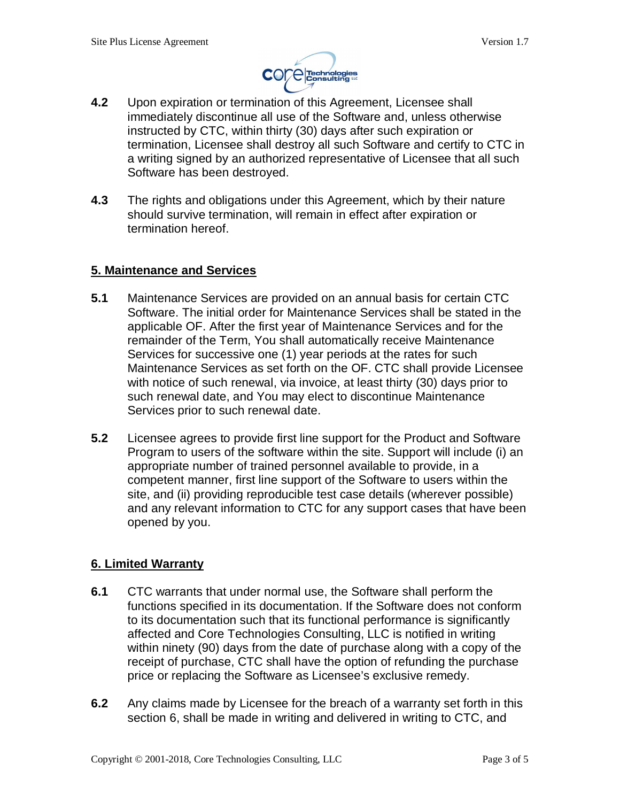

- **4.2** Upon expiration or termination of this Agreement, Licensee shall immediately discontinue all use of the Software and, unless otherwise instructed by CTC, within thirty (30) days after such expiration or termination, Licensee shall destroy all such Software and certify to CTC in a writing signed by an authorized representative of Licensee that all such Software has been destroyed.
- **4.3** The rights and obligations under this Agreement, which by their nature should survive termination, will remain in effect after expiration or termination hereof.

#### **5. Maintenance and Services**

- **5.1** Maintenance Services are provided on an annual basis for certain CTC Software. The initial order for Maintenance Services shall be stated in the applicable OF. After the first year of Maintenance Services and for the remainder of the Term, You shall automatically receive Maintenance Services for successive one (1) year periods at the rates for such Maintenance Services as set forth on the OF. CTC shall provide Licensee with notice of such renewal, via invoice, at least thirty (30) days prior to such renewal date, and You may elect to discontinue Maintenance Services prior to such renewal date.
- **5.2** Licensee agrees to provide first line support for the Product and Software Program to users of the software within the site. Support will include (i) an appropriate number of trained personnel available to provide, in a competent manner, first line support of the Software to users within the site, and (ii) providing reproducible test case details (wherever possible) and any relevant information to CTC for any support cases that have been opened by you.

# **6. Limited Warranty**

- **6.1** CTC warrants that under normal use, the Software shall perform the functions specified in its documentation. If the Software does not conform to its documentation such that its functional performance is significantly affected and Core Technologies Consulting, LLC is notified in writing within ninety (90) days from the date of purchase along with a copy of the receipt of purchase, CTC shall have the option of refunding the purchase price or replacing the Software as Licensee's exclusive remedy.
- **6.2** Any claims made by Licensee for the breach of a warranty set forth in this section 6, shall be made in writing and delivered in writing to CTC, and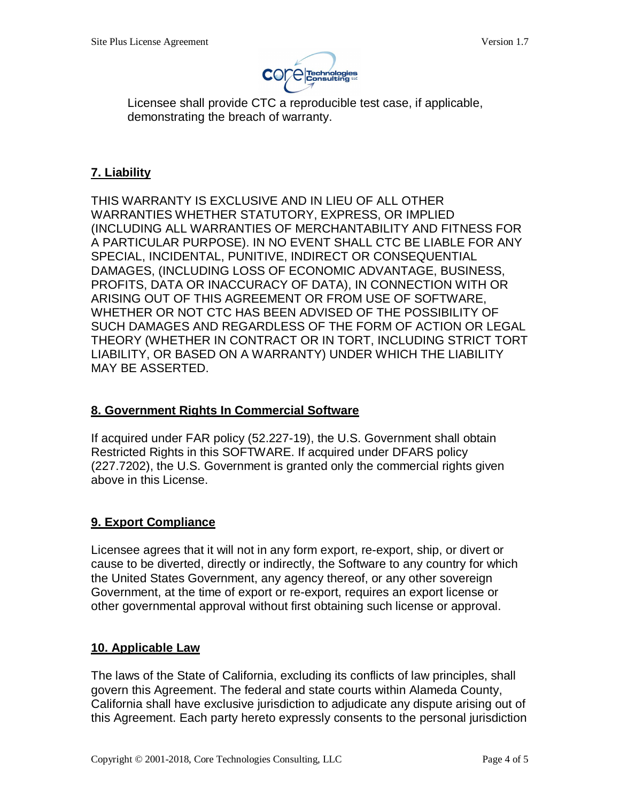

Licensee shall provide CTC a reproducible test case, if applicable, demonstrating the breach of warranty.

# **7. Liability**

THIS WARRANTY IS EXCLUSIVE AND IN LIEU OF ALL OTHER WARRANTIES WHETHER STATUTORY, EXPRESS, OR IMPLIED (INCLUDING ALL WARRANTIES OF MERCHANTABILITY AND FITNESS FOR A PARTICULAR PURPOSE). IN NO EVENT SHALL CTC BE LIABLE FOR ANY SPECIAL, INCIDENTAL, PUNITIVE, INDIRECT OR CONSEQUENTIAL DAMAGES, (INCLUDING LOSS OF ECONOMIC ADVANTAGE, BUSINESS, PROFITS, DATA OR INACCURACY OF DATA), IN CONNECTION WITH OR ARISING OUT OF THIS AGREEMENT OR FROM USE OF SOFTWARE, WHETHER OR NOT CTC HAS BEEN ADVISED OF THE POSSIBILITY OF SUCH DAMAGES AND REGARDLESS OF THE FORM OF ACTION OR LEGAL THEORY (WHETHER IN CONTRACT OR IN TORT, INCLUDING STRICT TORT LIABILITY, OR BASED ON A WARRANTY) UNDER WHICH THE LIABILITY MAY BE ASSERTED.

# **8. Government Rights In Commercial Software**

If acquired under FAR policy (52.227-19), the U.S. Government shall obtain Restricted Rights in this SOFTWARE. If acquired under DFARS policy (227.7202), the U.S. Government is granted only the commercial rights given above in this License.

# **9. Export Compliance**

Licensee agrees that it will not in any form export, re-export, ship, or divert or cause to be diverted, directly or indirectly, the Software to any country for which the United States Government, any agency thereof, or any other sovereign Government, at the time of export or re-export, requires an export license or other governmental approval without first obtaining such license or approval.

# **10. Applicable Law**

The laws of the State of California, excluding its conflicts of law principles, shall govern this Agreement. The federal and state courts within Alameda County, California shall have exclusive jurisdiction to adjudicate any dispute arising out of this Agreement. Each party hereto expressly consents to the personal jurisdiction